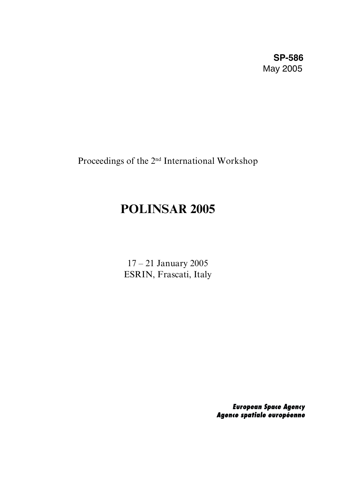**SP-586** May 2005

Proceedings of the 2nd International Workshop

# **POLINSAR 2005**

17 – 21 January 2005 ESRIN, Frascati, Italy

> **European Space Agency** Agence spatiale européenne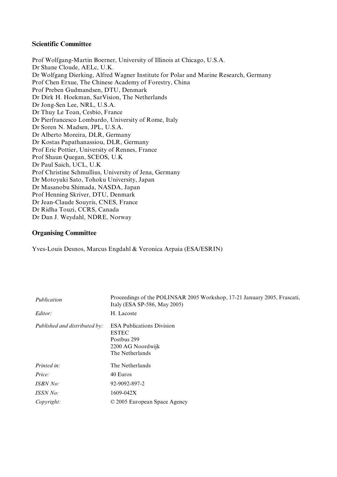#### **Scientific Committee**

Prof Wolfgang-Martin Boerner, University of Illinois at Chicago, U.S.A. Dr Shane Cloude, AELc, U.K. Dr Wolfgang Dierking, Alfred Wagner Institute for Polar and Marine Research, Germany Prof Chen Erxue, The Chinese Academy of Forestry, China Prof Preben Gudmandsen, DTU, Denmark Dr Dirk H. Hoekman, SarVision, The Netherlands Dr Jong-Sen Lee, NRL, U.S.A. Dr Thuy Le Toan, Cesbio, France Dr Pierfrancesco Lombardo, University of Rome, Italy Dr Soren N. Madsen, JPL, U.S.A. Dr Alberto Moreira, DLR, Germany Dr Kostas Papathanassiou, DLR, Germany Prof Eric Pottier, University of Rennes, France Prof Shaun Quegan, SCEOS, U.K Dr Paul Saich, UCL, U.K Prof Christine Schmullius, University of Jena, Germany Dr Motoyuki Sato, Tohoku University, Japan Dr Masanobu Shimada, NASDA, Japan Prof Henning Skriver, DTU, Denmark Dr Jean-Claude Souyris, CNES, France Dr Ridha Touzi, CCRS, Canada Dr Dan J. Weydahl, NDRE, Norway

#### **Organising Committee**

Yves-Louis Desnos, Marcus Engdahl & Veronica Arpaia (ESA/ESRIN)

| Publication<br>Editor:        | Proceedings of the POLINSAR 2005 Workshop, 17-21 January 2005, Frascati,<br>Italy (ESA SP-586, May 2005)<br>H. Lacoste |
|-------------------------------|------------------------------------------------------------------------------------------------------------------------|
| Published and distributed by: | <b>ESA Publications Division</b><br><b>ESTEC</b><br>Postbus 299<br>2200 AG Noordwijk<br>The Netherlands                |
| Printed in:                   | The Netherlands                                                                                                        |
| Price:                        | 40 Euros                                                                                                               |
| <b>ISBN No:</b>               | 92-9092-897-2                                                                                                          |
| <b>ISSN No:</b>               | $1609 - 042X$                                                                                                          |
| Copyright:                    | © 2005 European Space Agency                                                                                           |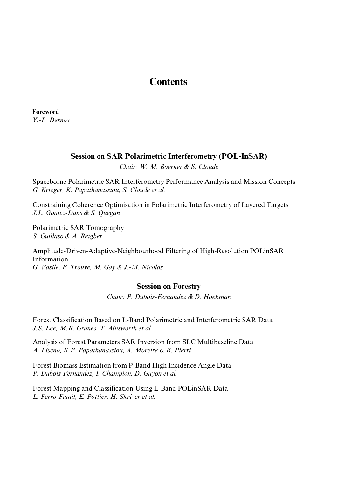## **Contents**

**Foreword** *Y.-L. Desnos*

## **Session on SAR Polarimetric Interferometry (POL-InSAR)**

*Chair: W. M. Boerner & S. Cloude* 

Spaceborne Polarimetric SAR Interferometry Performance Analysis and Mission Concepts *G. Krieger, K. Papathanassiou, S. Cloude et al.* 

Constraining Coherence Optimisation in Polarimetric Interferometry of Layered Targets *J.L. Gomez-Dans & S. Quegan*

Polarimetric SAR Tomography *S. Guillaso & A. Reigber*

Amplitude-Driven-Adaptive-Neighbourhood Filtering of High-Resolution POLinSAR Information *G. Vasile, E. Trouvé, M. Gay & J.-M. Nicolas*

#### **Session on Forestry**

*Chair: P. Dubois-Fernandez & D. Hoekman* 

Forest Classification Based on L-Band Polarimetric and Interferometric SAR Data *J.S. Lee, M.R. Grunes, T. Ainsworth et al.*

Analysis of Forest Parameters SAR Inversion from SLC Multibaseline Data *A. Liseno, K.P. Papathanassiou, A. Moreire & R. Pierri* 

Forest Biomass Estimation from P-Band High Incidence Angle Data *P. Dubois-Fernandez, I. Champion, D. Guyon et al.*

Forest Mapping and Classification Using L-Band POLinSAR Data *L. Ferro-Famil, E. Pottier, H. Skriver et al.*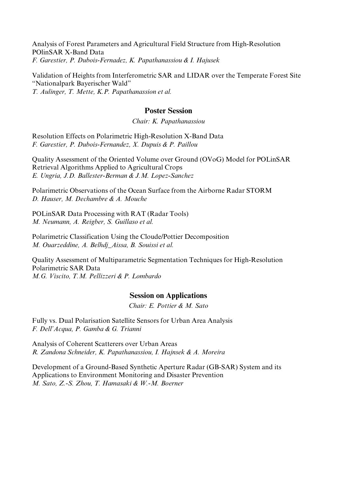Analysis of Forest Parameters and Agricultural Field Structure from High-Resolution POlinSAR X-Band Data *F. Garestier, P. Dubois-Fernadez, K. Papathanassiou & I. Hajusek*

Validation of Heights from Interferometric SAR and LIDAR over the Temperate Forest Site "Nationalpark Bayerischer Wald" *T. Aulinger, T. Mette, K.P. Papathanassion et al.*

## **Poster Session**

#### *Chair: K. Papathanassiou*

Resolution Effects on Polarimetric High-Resolution X-Band Data *F. Garestier, P. Dubois-Fernandez, X. Dupuis & P. Paillou*

Quality Assessment of the Oriented Volume over Ground (OVoG) Model for POLinSAR Retrieval Algorithms Applied to Agricultural Crops *E. Ungria, J.D. Ballester-Berman & J.M. Lopez-Sanchez*

Polarimetric Observations of the Ocean Surface from the Airborne Radar STORM *D. Hauser, M. Dechambre & A. Mouche*

POLinSAR Data Processing with RAT (Radar Tools) *M. Neumann, A. Reigber, S. Guillaso et al.*

Polarimetric Classification Using the Cloude/Pottier Decomposition *M. Ouarzeddine, A. Belhdj\_Aissa, B. Souissi et al.*

Quality Assessment of Multiparametric Segmentation Techniques for High-Resolution Polarimetric SAR Data *M.G. Viscito, T.M. Pellizzeri & P. Lombardo*

## **Session on Applications**

*Chair: E. Pottier & M. Sato* 

Fully vs. Dual Polarisation Satellite Sensors for Urban Area Analysis *F. Dell'Acqua, P. Gamba & G. Trianni*

Analysis of Coherent Scatterers over Urban Areas *R. Zandona Schneider, K. Papathanassiou, I. Hajnsek & A. Moreira*

Development of a Ground-Based Synthetic Aperture Radar (GB-SAR) System and its Applications to Environment Monitoring and Disaster Prevention *M. Sato, Z.-S. Zhou, T. Hamasaki & W.-M. Boerner*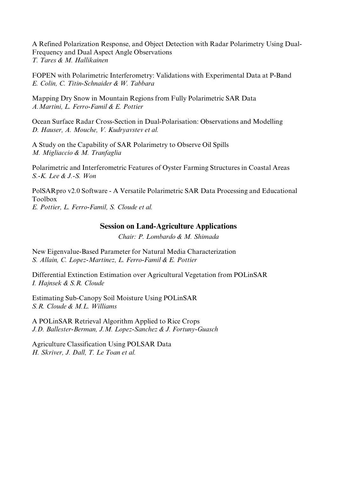A Refined Polarization Response, and Object Detection with Radar Polarimetry Using Dual-Frequency and Dual Aspect Angle Observations *T. Tares & M. Hallikainen*

FOPEN with Polarimetric Interferometry: Validations with Experimental Data at P-Band *E. Colin, C. Titin-Schnaider & W. Tabbara*

Mapping Dry Snow in Mountain Regions from Fully Polarimetric SAR Data *A.Martini, L. Ferro-Famil & E. Pottier*

Ocean Surface Radar Cross-Section in Dual-Polarisation: Observations and Modelling *D. Hauser, A. Mouche, V. Kudryavstev et al.*

A Study on the Capability of SAR Polarimetry to Observe Oil Spills *M. Migliaccio & M. Tranfaglia* 

Polarimetric and Interferometric Features of Oyster Farming Structures in Coastal Areas *S.-K. Lee & J.-S. Won*

PolSARpro v2.0 Software - A Versatile Polarimetric SAR Data Processing and Educational Toolbox *E. Pottier, L. Ferro-Famil, S. Cloude et al.*

## **Session on Land-Agriculture Applications**

*Chair: P. Lombardo & M. Shimada* 

New Eigenvalue-Based Parameter for Natural Media Characterization *S. Allain, C. Lopez-Martinez, L. Ferro-Famil & E. Pottier*

Differential Extinction Estimation over Agricultural Vegetation from POLinSAR *I. Hajnsek & S.R. Cloude*

Estimating Sub-Canopy Soil Moisture Using POLinSAR *S.R. Cloude & M.L. Williams*

A POLinSAR Retrieval Algorithm Applied to Rice Crops *J.D. Ballester-Berman, J.M. Lopez-Sanchez & J. Fortuny-Guasch*

Agriculture Classification Using POLSAR Data *H. Skriver, J. Dall, T. Le Toan et al.*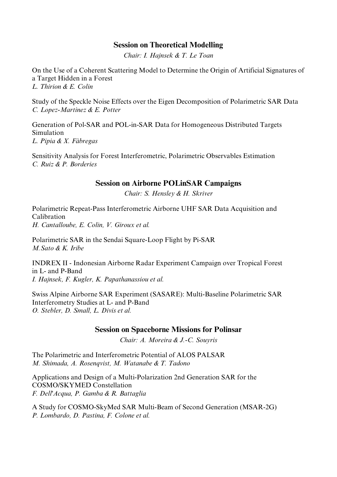## **Session on Theoretical Modelling**

*Chair: I. Hajnsek & T. Le Toan* 

On the Use of a Coherent Scattering Model to Determine the Origin of Artificial Signatures of a Target Hidden in a Forest *L. Thirion & E. Colin*

Study of the Speckle Noise Effects over the Eigen Decomposition of Polarimetric SAR Data *C. Lopez-Martinez & E. Potter*

Generation of Pol-SAR and POL-in-SAR Data for Homogeneous Distributed Targets Simulation *L. Pipia & X. Fàbregas*

Sensitivity Analysis for Forest Interferometric, Polarimetric Observables Estimation *C. Ruiz & P. Borderies*

## **Session on Airborne POLinSAR Campaigns**

*Chair: S. Hensley & H. Skriver*

Polarimetric Repeat-Pass Interferometric Airborne UHF SAR Data Acquisition and Calibration *H. Cantalloube, E. Colin, V. Giroux et al.*

Polarimetric SAR in the Sendai Square-Loop Flight by Pi-SAR *M.Sato & K. Iribe*

INDREX II - Indonesian Airborne Radar Experiment Campaign over Tropical Forest in L- and P-Band *I. Hajnsek, F. Kugler, K. Papathanassiou et al.*

Swiss Alpine Airborne SAR Experiment (SASARE): Multi-Baseline Polarimetric SAR Interferometry Studies at L- and P-Band *O. Stebler, D. Small, L. Divis et al.*

## **Session on Spaceborne Missions for Polinsar**

*Chair: A. Moreira & J.-C. Souyris*

The Polarimetric and Interferometric Potential of ALOS PALSAR *M. Shimada, A. Rosenqvist, M. Watanabe & T. Tadono*

Applications and Design of a Multi-Polarization 2nd Generation SAR for the COSMO/SKYMED Constellation *F. Dell'Acqua, P. Gamba & R. Battaglia*

A Study for COSMO-SkyMed SAR Multi-Beam of Second Generation (MSAR-2G) *P. Lombardo, D. Pastina, F. Colone et al.*